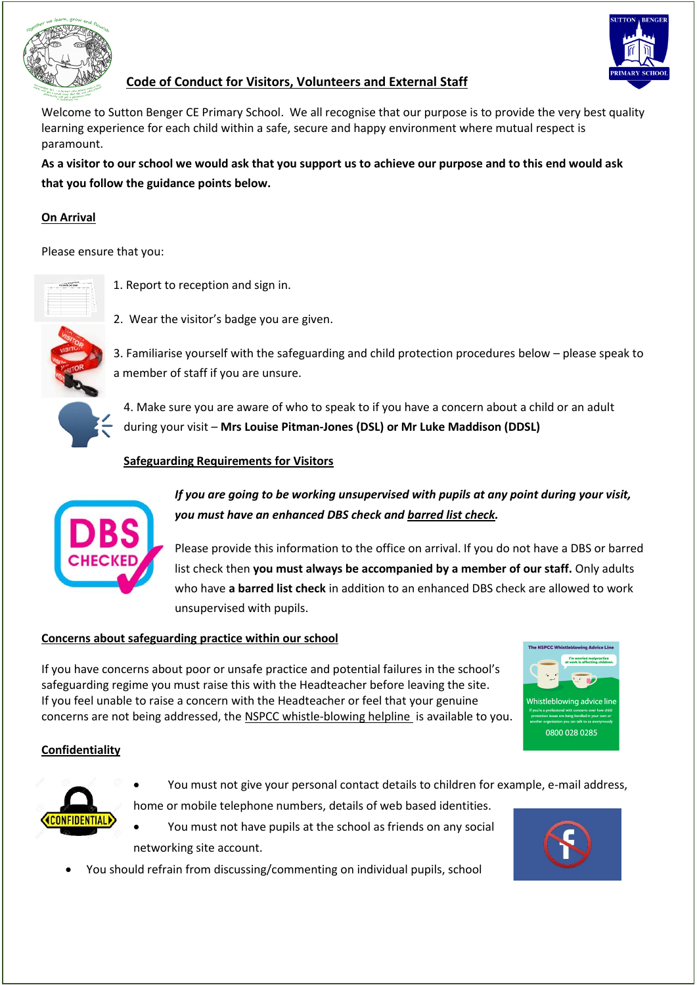

## **Code of Conduct for Visitors, Volunteers and External Staff**

Welcome to Sutton Benger CE Primary School. We all recognise that our purpose is to provide the very best quality learning experience for each child within a safe, secure and happy environment where mutual respect is paramount.

**As a visitor to our school we would ask that you support us to achieve our purpose and to this end would ask that you follow the guidance points below.**

## **On Arrival**

Please ensure that you:



1. Report to reception and sign in.

2. Wear the visitor's badge you are given.



3. Familiarise yourself with the safeguarding and child protection procedures below – please speak to a member of staff if you are unsure.

4. Make sure you are aware of who to speak to if you have a concern about a child or an adult during your visit – **Mrs Louise Pitman-Jones (DSL) or Mr Luke Maddison (DDSL)**

### **Safeguarding Requirements for Visitors**



*If you are going to be working unsupervised with pupils at any point during your visit, you must have an enhanced DBS check and barred list check.*

Please provide this information to the office on arrival. If you do not have a DBS or barred list check then **you must always be accompanied by a member of our staff.** Only adults who have **a barred list check** in addition to an enhanced DBS check are allowed to work unsupervised with pupils.

#### **Concerns about safeguarding practice within our school**

If you have concerns about poor or unsafe practice and potential failures in the school's safeguarding regime you must raise this with the Headteacher before leaving the site. If you feel unable to raise a concern with the Headteacher or feel that your genuine concerns are not being addressed, the [NSPCC whistle-blowing helpline](https://www.nspcc.org.uk/fighting-for-childhood/news-opinion/new-whistleblowing-advice-line-professionals/) is available to you.



#### **Confidentiality**



- You must not give your personal contact details to children for example, e-mail address, home or mobile telephone numbers, details of web based identities.
- You must not have pupils at the school as friends on any social networking site account.
- You should refrain from discussing/commenting on individual pupils, school